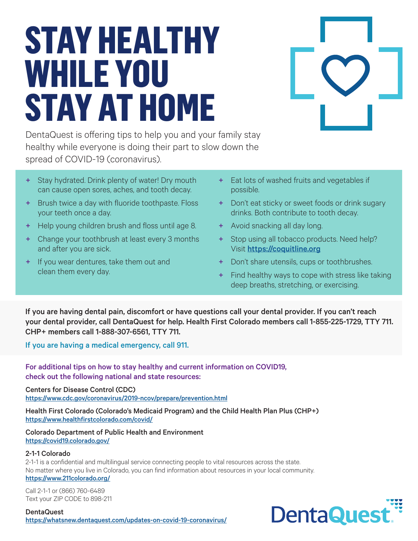# **STAY HEALTHY WHILE YOU STAY AT HOME**

DentaQuest is offering tips to help you and your family stay healthy while everyone is doing their part to slow down the spread of COVID-19 (coronavirus).

- Stay hydrated. Drink plenty of water! Dry mouth can cause open sores, aches, and tooth decay.
- + Brush twice a day with fluoride toothpaste. Floss your teeth once a day.
- + Help young children brush and floss until age 8.
- + Change your toothbrush at least every 3 months and after you are sick.
- + If you wear dentures, take them out and clean them every day.
- + Eat lots of washed fruits and vegetables if possible.
- + Don't eat sticky or sweet foods or drink sugary drinks. Both contribute to tooth decay.
- + Avoid snacking all day long.
- + Stop using all tobacco products. Need help? Visit <https://coquitline.org>
- + Don't share utensils, cups or toothbrushes.
- + Find healthy ways to cope with stress like taking deep breaths, stretching, or exercising.

If you are having dental pain, discomfort or have questions call your dental provider. If you can't reach your dental provider, call DentaQuest for help. Health First Colorado members call 1-855-225-1729, TTY 711. CHP+ members call 1-888-307-6561, TTY 711.

If you are having a medical emergency, call 911.

For additional tips on how to stay healthy and current information on COVID19, check out the following national and state resources:

Centers for Disease Control (CDC) <https://www.cdc.gov/coronavirus/2019-ncov/prepare/prevention.html>

Health First Colorado (Colorado's Medicaid Program) and the Child Health Plan Plus (CHP+) <https://www.healthfirstcolorado.com/covid/>

Colorado Department of Public Health and Environment <https://covid19.colorado.gov/>

## 2-1-1 Colorado

2-1-1 is a confidential and multilingual service connecting people to vital resources across the state. No matter where you live in Colorado, you can find information about resources in your local community. <https://www.211colorado.org/>

Call 2-1-1 or (866) 760-6489 Text your ZIP CODE to 898-211

DentaQuest <https://whatsnew.dentaquest.com/updates-on-covid-19-coronavirus/>